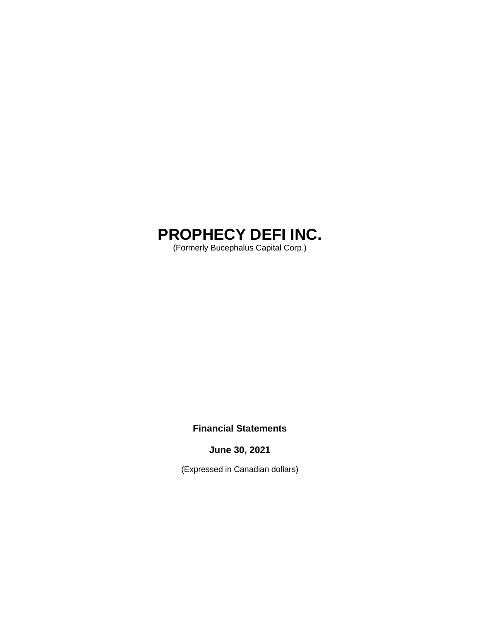# **PROPHECY DEFI INC.**

(Formerly Bucephalus Capital Corp.)

# **Financial Statements**

**June 30, 2021**

(Expressed in Canadian dollars)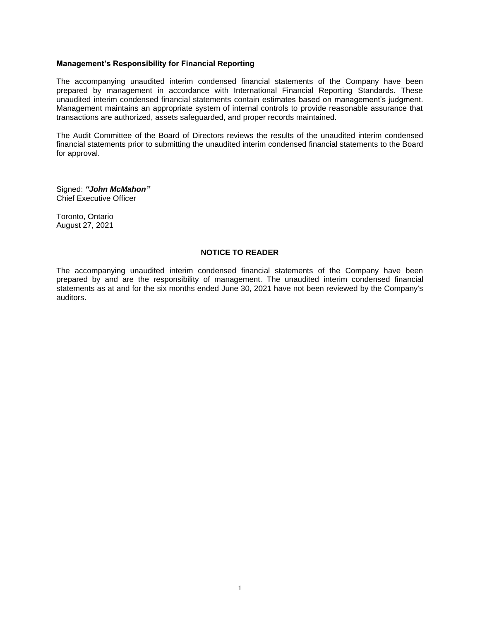# **Management's Responsibility for Financial Reporting**

The accompanying unaudited interim condensed financial statements of the Company have been prepared by management in accordance with International Financial Reporting Standards. These unaudited interim condensed financial statements contain estimates based on management's judgment. Management maintains an appropriate system of internal controls to provide reasonable assurance that transactions are authorized, assets safeguarded, and proper records maintained.

The Audit Committee of the Board of Directors reviews the results of the unaudited interim condensed financial statements prior to submitting the unaudited interim condensed financial statements to the Board for approval.

Signed: *"John McMahon"*  Chief Executive Officer

Toronto, Ontario August 27, 2021

# **NOTICE TO READER**

The accompanying unaudited interim condensed financial statements of the Company have been prepared by and are the responsibility of management. The unaudited interim condensed financial statements as at and for the six months ended June 30, 2021 have not been reviewed by the Company's auditors.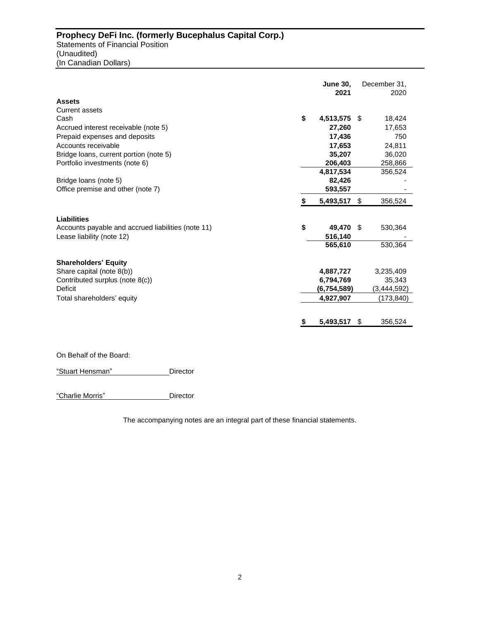|                                                    |    | <b>June 30,</b> |    | December 31, |
|----------------------------------------------------|----|-----------------|----|--------------|
|                                                    |    | 2021            |    | 2020         |
| <b>Assets</b>                                      |    |                 |    |              |
| <b>Current assets</b>                              |    |                 |    |              |
| Cash                                               | \$ | 4,513,575 \$    |    | 18,424       |
| Accrued interest receivable (note 5)               |    | 27,260          |    | 17,653       |
| Prepaid expenses and deposits                      |    | 17,436          |    | 750          |
| Accounts receivable                                |    | 17,653          |    | 24,811       |
| Bridge loans, current portion (note 5)             |    | 35,207          |    | 36,020       |
| Portfolio investments (note 6)                     |    | 206,403         |    | 258,866      |
|                                                    |    | 4,817,534       |    | 356,524      |
| Bridge loans (note 5)                              |    | 82,426          |    |              |
| Office premise and other (note 7)                  |    | 593,557         |    |              |
|                                                    | S  | 5,493,517       | \$ | 356,524      |
| <b>Liabilities</b>                                 |    |                 |    |              |
| Accounts payable and accrued liabilities (note 11) | \$ | 49,470 \$       |    | 530,364      |
| Lease liability (note 12)                          |    | 516,140         |    |              |
|                                                    |    | 565,610         |    | 530,364      |
| <b>Shareholders' Equity</b>                        |    |                 |    |              |
| Share capital (note 8(b))                          |    | 4,887,727       |    | 3,235,409    |
| Contributed surplus (note 8(c))                    |    | 6,794,769       |    | 35,343       |
| Deficit                                            |    | (6,754,589)     |    | (3,444,592)  |
| Total shareholders' equity                         |    | 4,927,907       |    | (173, 840)   |
|                                                    |    |                 |    |              |
|                                                    |    | 5,493,517       | \$ | 356,524      |

On Behalf of the Board:

"Stuart Hensman" Director

"Charlie Morris" Director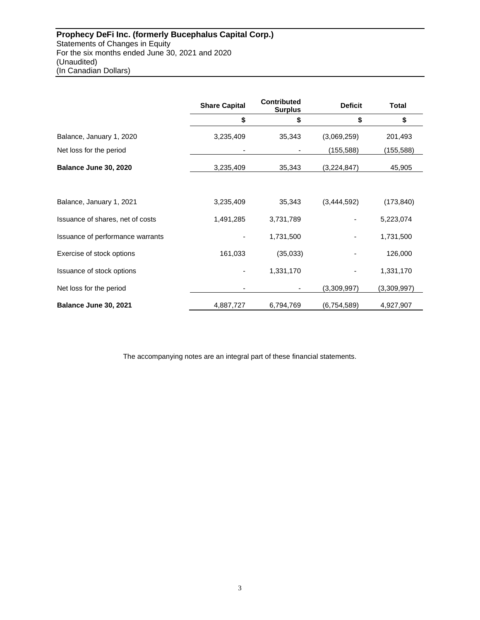|                                  | <b>Share Capital</b> | <b>Contributed</b><br><b>Surplus</b> | <b>Deficit</b> | <b>Total</b> |
|----------------------------------|----------------------|--------------------------------------|----------------|--------------|
|                                  | \$                   | \$                                   | \$             | \$           |
| Balance, January 1, 2020         | 3,235,409            | 35,343                               | (3,069,259)    | 201,493      |
| Net loss for the period          |                      |                                      | (155, 588)     | (155, 588)   |
| Balance June 30, 2020            | 3,235,409            | 35,343                               | (3,224,847)    | 45,905       |
|                                  |                      |                                      |                |              |
| Balance, January 1, 2021         | 3,235,409            | 35,343                               | (3,444,592)    | (173, 840)   |
| Issuance of shares, net of costs | 1,491,285            | 3,731,789                            |                | 5,223,074    |
| Issuance of performance warrants |                      | 1,731,500                            |                | 1,731,500    |
| Exercise of stock options        | 161,033              | (35,033)                             |                | 126,000      |
| Issuance of stock options        |                      | 1,331,170                            |                | 1,331,170    |
| Net loss for the period          |                      |                                      | (3,309,997)    | (3,309,997)  |
| Balance June 30, 2021            | 4,887,727            | 6,794,769                            | (6,754,589)    | 4,927,907    |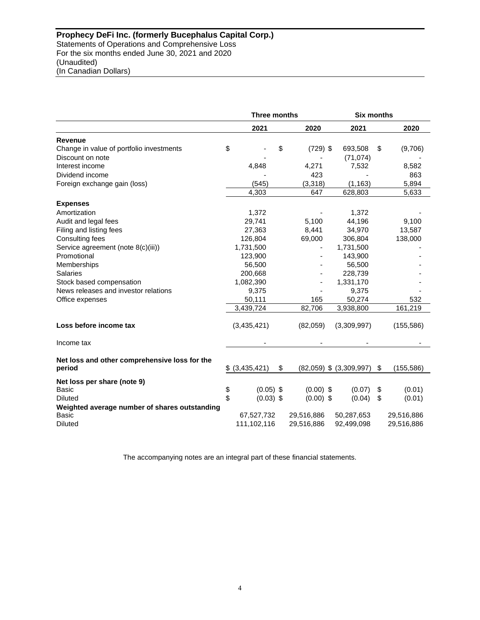|                                                         | <b>Three months</b> |                 |    | <b>Six months</b> |                             |    |            |
|---------------------------------------------------------|---------------------|-----------------|----|-------------------|-----------------------------|----|------------|
|                                                         |                     | 2021            |    | 2020              | 2021                        |    | 2020       |
| <b>Revenue</b>                                          |                     |                 |    |                   |                             |    |            |
| Change in value of portfolio investments                | \$                  |                 | \$ | $(729)$ \$        | 693,508                     | \$ | (9,706)    |
| Discount on note                                        |                     |                 |    |                   | (71, 074)                   |    |            |
| Interest income                                         |                     | 4,848           |    | 4,271             | 7,532                       |    | 8,582      |
| Dividend income                                         |                     |                 |    | 423               |                             |    | 863        |
| Foreign exchange gain (loss)                            |                     | (545)           |    | (3,318)           | (1, 163)                    |    | 5,894      |
|                                                         |                     | 4,303           |    | 647               | 628,803                     |    | 5,633      |
| <b>Expenses</b>                                         |                     |                 |    |                   |                             |    |            |
| Amortization                                            |                     | 1,372           |    |                   | 1,372                       |    |            |
| Audit and legal fees                                    |                     | 29,741          |    | 5,100             | 44,196                      |    | 9,100      |
| Filing and listing fees                                 |                     | 27,363          |    | 8,441             | 34,970                      |    | 13,587     |
| Consulting fees                                         |                     | 126,804         |    | 69,000            | 306,804                     |    | 138,000    |
| Service agreement (note 8(c)(iii))                      |                     | 1,731,500       |    |                   | 1,731,500                   |    |            |
| Promotional                                             |                     | 123,900         |    |                   | 143,900                     |    |            |
| Memberships                                             |                     | 56,500          |    |                   | 56,500                      |    |            |
| <b>Salaries</b>                                         |                     | 200,668         |    |                   | 228,739                     |    |            |
| Stock based compensation                                |                     | 1,082,390       |    |                   | 1,331,170                   |    |            |
| News releases and investor relations                    |                     | 9,375           |    |                   | 9,375                       |    |            |
| Office expenses                                         |                     | 50,111          |    | 165               | 50,274                      |    | 532        |
|                                                         |                     | 3,439,724       |    | 82,706            | 3,938,800                   |    | 161,219    |
| Loss before income tax                                  |                     | (3,435,421)     |    | (82,059)          | (3,309,997)                 |    | (155, 586) |
| Income tax                                              |                     |                 |    |                   |                             |    |            |
| Net loss and other comprehensive loss for the<br>period |                     | $$$ (3,435,421) | \$ |                   | $(82,059)$ \$ $(3,309,997)$ | \$ | (155, 586) |
| Net loss per share (note 9)                             |                     |                 |    |                   |                             |    |            |
| <b>Basic</b>                                            | \$                  | $(0.05)$ \$     |    | $(0.00)$ \$       | (0.07)                      | \$ | (0.01)     |
| <b>Diluted</b>                                          | \$                  | $(0.03)$ \$     |    | $(0.00)$ \$       | (0.04)                      | \$ | (0.01)     |
| Weighted average number of shares outstanding           |                     |                 |    |                   |                             |    |            |
| Basic                                                   |                     | 67,527,732      |    | 29,516,886        | 50,287,653                  |    | 29,516,886 |
| <b>Diluted</b>                                          |                     | 111,102,116     |    | 29,516,886        | 92,499,098                  |    | 29,516,886 |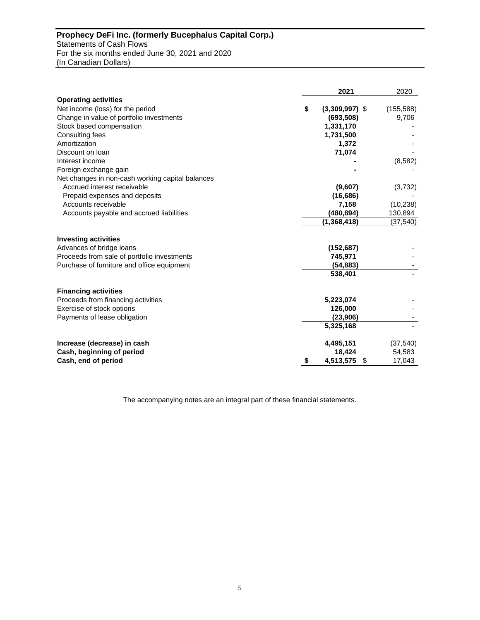# **Prophecy DeFi Inc. (formerly Bucephalus Capital Corp.)** Statements of Cash Flows For the six months ended June 30, 2021 and 2020 (In Canadian Dollars)

|                                                  | 2021                   | 2020       |
|--------------------------------------------------|------------------------|------------|
| <b>Operating activities</b>                      |                        |            |
| Net income (loss) for the period                 | \$<br>$(3,309,997)$ \$ | (155, 588) |
| Change in value of portfolio investments         | (693, 508)             | 9,706      |
| Stock based compensation                         | 1,331,170              |            |
| Consulting fees                                  | 1,731,500              |            |
| Amortization                                     | 1,372                  |            |
| Discount on loan                                 | 71,074                 |            |
| Interest income                                  |                        | (8,582)    |
| Foreign exchange gain                            |                        |            |
| Net changes in non-cash working capital balances |                        |            |
| Accrued interest receivable                      | (9,607)                | (3,732)    |
| Prepaid expenses and deposits                    | (16, 686)              |            |
| Accounts receivable                              | 7,158                  | (10, 238)  |
| Accounts payable and accrued liabilities         | (480, 894)             | 130,894    |
|                                                  | (1,368,418)            | (37, 540)  |
| <b>Investing activities</b>                      |                        |            |
| Advances of bridge loans                         | (152, 687)             |            |
| Proceeds from sale of portfolio investments      | 745,971                |            |
| Purchase of furniture and office equipment       | (54, 883)              |            |
|                                                  | 538,401                |            |
|                                                  |                        |            |
| <b>Financing activities</b>                      |                        |            |
| Proceeds from financing activities               | 5,223,074              |            |
| Exercise of stock options                        | 126,000                |            |
| Payments of lease obligation                     | (23,906)               |            |
|                                                  | 5,325,168              |            |
| Increase (decrease) in cash                      | 4,495,151              | (37, 540)  |
| Cash, beginning of period                        | 18,424                 | 54,583     |
| Cash, end of period                              | \$<br>4,513,575<br>\$  | 17,043     |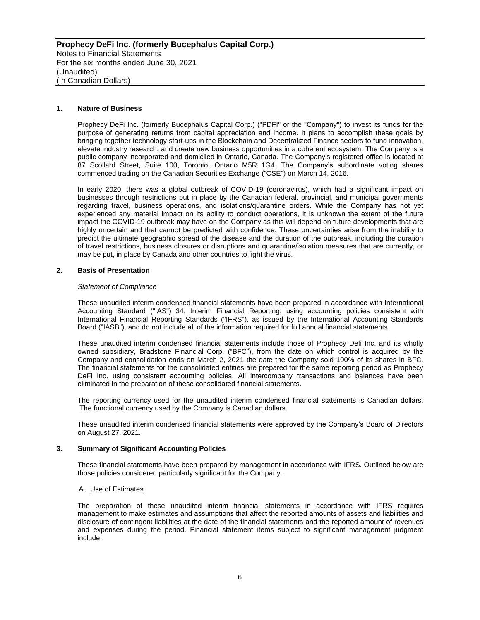# **1. Nature of Business**

Prophecy DeFi Inc. (formerly Bucephalus Capital Corp.) ("PDFI" or the "Company") to invest its funds for the purpose of generating returns from capital appreciation and income. It plans to accomplish these goals by bringing together technology start-ups in the Blockchain and Decentralized Finance sectors to fund innovation, elevate industry research, and create new business opportunities in a coherent ecosystem. The Company is a public company incorporated and domiciled in Ontario, Canada. The Company's registered office is located at 87 Scollard Street, Suite 100, Toronto, Ontario M5R 1G4. The Company's subordinate voting shares commenced trading on the Canadian Securities Exchange ("CSE") on March 14, 2016.

In early 2020, there was a global outbreak of COVID-19 (coronavirus), which had a significant impact on businesses through restrictions put in place by the Canadian federal, provincial, and municipal governments regarding travel, business operations, and isolations/quarantine orders. While the Company has not yet experienced any material impact on its ability to conduct operations, it is unknown the extent of the future impact the COVID-19 outbreak may have on the Company as this will depend on future developments that are highly uncertain and that cannot be predicted with confidence. These uncertainties arise from the inability to predict the ultimate geographic spread of the disease and the duration of the outbreak, including the duration of travel restrictions, business closures or disruptions and quarantine/isolation measures that are currently, or may be put, in place by Canada and other countries to fight the virus.

#### **2. Basis of Presentation**

#### *Statement of Compliance*

These unaudited interim condensed financial statements have been prepared in accordance with International Accounting Standard ("IAS") 34, Interim Financial Reporting, using accounting policies consistent with International Financial Reporting Standards ("IFRS"), as issued by the International Accounting Standards Board ("IASB"), and do not include all of the information required for full annual financial statements.

These unaudited interim condensed financial statements include those of Prophecy Defi Inc. and its wholly owned subsidiary, Bradstone Financial Corp. ("BFC"), from the date on which control is acquired by the Company and consolidation ends on March 2, 2021 the date the Company sold 100% of its shares in BFC. The financial statements for the consolidated entities are prepared for the same reporting period as Prophecy DeFi Inc. using consistent accounting policies. All intercompany transactions and balances have been eliminated in the preparation of these consolidated financial statements.

The reporting currency used for the unaudited interim condensed financial statements is Canadian dollars. The functional currency used by the Company is Canadian dollars.

These unaudited interim condensed financial statements were approved by the Company's Board of Directors on August 27, 2021.

#### **3. Summary of Significant Accounting Policies**

These financial statements have been prepared by management in accordance with IFRS. Outlined below are those policies considered particularly significant for the Company.

#### A. Use of Estimates

The preparation of these unaudited interim financial statements in accordance with IFRS requires management to make estimates and assumptions that affect the reported amounts of assets and liabilities and disclosure of contingent liabilities at the date of the financial statements and the reported amount of revenues and expenses during the period. Financial statement items subject to significant management judgment include: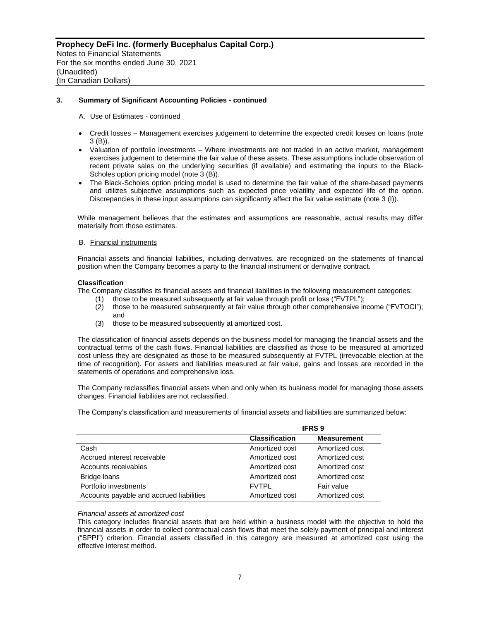#### A. Use of Estimates - continued

- Credit losses Management exercises judgement to determine the expected credit losses on loans (note 3 (B)).
- Valuation of portfolio investments Where investments are not traded in an active market, management exercises judgement to determine the fair value of these assets. These assumptions include observation of recent private sales on the underlying securities (if available) and estimating the inputs to the Black-Scholes option pricing model (note 3 (B)).
- The Black-Scholes option pricing model is used to determine the fair value of the share-based payments and utilizes subjective assumptions such as expected price volatility and expected life of the option. Discrepancies in these input assumptions can significantly affect the fair value estimate (note 3 (I)).

While management believes that the estimates and assumptions are reasonable, actual results may differ materially from those estimates.

#### B. Financial instruments

Financial assets and financial liabilities, including derivatives, are recognized on the statements of financial position when the Company becomes a party to the financial instrument or derivative contract.

#### **Classification**

The Company classifies its financial assets and financial liabilities in the following measurement categories:

- (1) those to be measured subsequently at fair value through profit or loss ("FVTPL");
- (2) those to be measured subsequently at fair value through other comprehensive income ("FVTOCI"); and
- (3) those to be measured subsequently at amortized cost.

The classification of financial assets depends on the business model for managing the financial assets and the contractual terms of the cash flows. Financial liabilities are classified as those to be measured at amortized cost unless they are designated as those to be measured subsequently at FVTPL (irrevocable election at the time of recognition). For assets and liabilities measured at fair value, gains and losses are recorded in the statements of operations and comprehensive loss.

The Company reclassifies financial assets when and only when its business model for managing those assets changes. Financial liabilities are not reclassified.

The Company's classification and measurements of financial assets and liabilities are summarized below:

|                                          | <b>IFRS 9</b>         |                    |  |  |  |
|------------------------------------------|-----------------------|--------------------|--|--|--|
|                                          | <b>Classification</b> | <b>Measurement</b> |  |  |  |
| Cash                                     | Amortized cost        | Amortized cost     |  |  |  |
| Accrued interest receivable              | Amortized cost        | Amortized cost     |  |  |  |
| Accounts receivables                     | Amortized cost        | Amortized cost     |  |  |  |
| Bridge loans                             | Amortized cost        | Amortized cost     |  |  |  |
| Portfolio investments                    | <b>FVTPL</b>          | Fair value         |  |  |  |
| Accounts payable and accrued liabilities | Amortized cost        | Amortized cost     |  |  |  |

#### *Financial assets at amortized cost*

This category includes financial assets that are held within a business model with the objective to hold the financial assets in order to collect contractual cash flows that meet the solely payment of principal and interest ("SPPI") criterion. Financial assets classified in this category are measured at amortized cost using the effective interest method.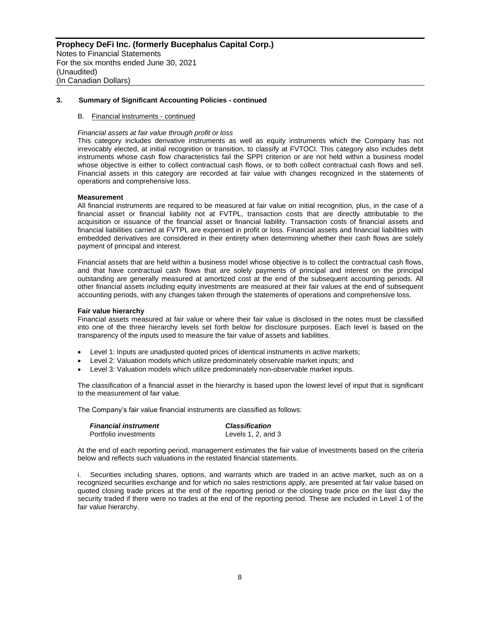#### B. Financial instruments - continued

#### *Financial assets at fair value through profit or loss*

This category includes derivative instruments as well as equity instruments which the Company has not irrevocably elected, at initial recognition or transition, to classify at FVTOCI. This category also includes debt instruments whose cash flow characteristics fail the SPPI criterion or are not held within a business model whose objective is either to collect contractual cash flows, or to both collect contractual cash flows and sell. Financial assets in this category are recorded at fair value with changes recognized in the statements of operations and comprehensive loss.

#### **Measurement**

All financial instruments are required to be measured at fair value on initial recognition, plus, in the case of a financial asset or financial liability not at FVTPL, transaction costs that are directly attributable to the acquisition or issuance of the financial asset or financial liability. Transaction costs of financial assets and financial liabilities carried at FVTPL are expensed in profit or loss. Financial assets and financial liabilities with embedded derivatives are considered in their entirety when determining whether their cash flows are solely payment of principal and interest.

Financial assets that are held within a business model whose objective is to collect the contractual cash flows, and that have contractual cash flows that are solely payments of principal and interest on the principal outstanding are generally measured at amortized cost at the end of the subsequent accounting periods. All other financial assets including equity investments are measured at their fair values at the end of subsequent accounting periods, with any changes taken through the statements of operations and comprehensive loss.

#### **Fair value hierarchy**

Financial assets measured at fair value or where their fair value is disclosed in the notes must be classified into one of the three hierarchy levels set forth below for disclosure purposes. Each level is based on the transparency of the inputs used to measure the fair value of assets and liabilities.

- Level 1: Inputs are unadjusted quoted prices of identical instruments in active markets;
- Level 2: Valuation models which utilize predominately observable market inputs; and
- Level 3: Valuation models which utilize predominately non-observable market inputs.

The classification of a financial asset in the hierarchy is based upon the lowest level of input that is significant to the measurement of fair value.

The Company's fair value financial instruments are classified as follows:

| <b>Financial instrument</b> | <b>Classification</b>   |  |  |  |
|-----------------------------|-------------------------|--|--|--|
| Portfolio investments       | Levels $1, 2$ , and $3$ |  |  |  |

At the end of each reporting period, management estimates the fair value of investments based on the criteria below and reflects such valuations in the restated financial statements.

i. Securities including shares, options, and warrants which are traded in an active market, such as on a recognized securities exchange and for which no sales restrictions apply, are presented at fair value based on quoted closing trade prices at the end of the reporting period or the closing trade price on the last day the security traded if there were no trades at the end of the reporting period. These are included in Level 1 of the fair value hierarchy.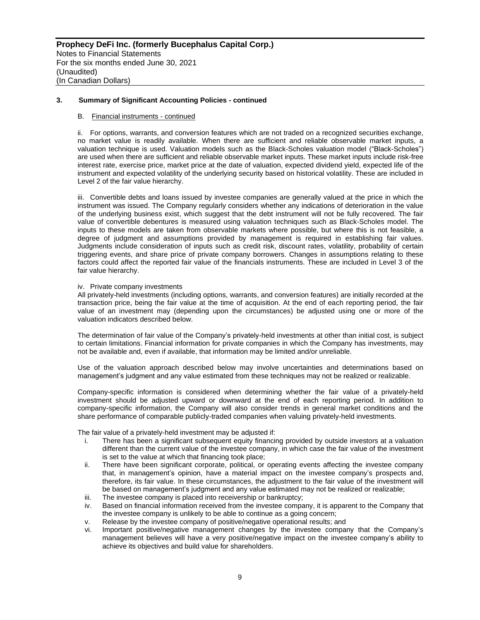#### B. Financial instruments - continued

ii. For options, warrants, and conversion features which are not traded on a recognized securities exchange, no market value is readily available. When there are sufficient and reliable observable market inputs, a valuation technique is used. Valuation models such as the Black-Scholes valuation model ("Black-Scholes") are used when there are sufficient and reliable observable market inputs. These market inputs include risk-free interest rate, exercise price, market price at the date of valuation, expected dividend yield, expected life of the instrument and expected volatility of the underlying security based on historical volatility. These are included in Level 2 of the fair value hierarchy.

iii. Convertible debts and loans issued by investee companies are generally valued at the price in which the instrument was issued. The Company regularly considers whether any indications of deterioration in the value of the underlying business exist, which suggest that the debt instrument will not be fully recovered. The fair value of convertible debentures is measured using valuation techniques such as Black-Scholes model. The inputs to these models are taken from observable markets where possible, but where this is not feasible, a degree of judgment and assumptions provided by management is required in establishing fair values. Judgments include consideration of inputs such as credit risk, discount rates, volatility, probability of certain triggering events, and share price of private company borrowers. Changes in assumptions relating to these factors could affect the reported fair value of the financials instruments. These are included in Level 3 of the fair value hierarchy.

#### iv. Private company investments

All privately-held investments (including options, warrants, and conversion features) are initially recorded at the transaction price, being the fair value at the time of acquisition. At the end of each reporting period, the fair value of an investment may (depending upon the circumstances) be adjusted using one or more of the valuation indicators described below.

The determination of fair value of the Company's privately-held investments at other than initial cost, is subject to certain limitations. Financial information for private companies in which the Company has investments, may not be available and, even if available, that information may be limited and/or unreliable.

Use of the valuation approach described below may involve uncertainties and determinations based on management's judgment and any value estimated from these techniques may not be realized or realizable.

Company-specific information is considered when determining whether the fair value of a privately-held investment should be adjusted upward or downward at the end of each reporting period. In addition to company-specific information, the Company will also consider trends in general market conditions and the share performance of comparable publicly-traded companies when valuing privately-held investments.

The fair value of a privately-held investment may be adjusted if:

- i. There has been a significant subsequent equity financing provided by outside investors at a valuation different than the current value of the investee company, in which case the fair value of the investment is set to the value at which that financing took place;
- ii. There have been significant corporate, political, or operating events affecting the investee company that, in management's opinion, have a material impact on the investee company's prospects and, therefore, its fair value. In these circumstances, the adjustment to the fair value of the investment will be based on management's judgment and any value estimated may not be realized or realizable;
- iii. The investee company is placed into receivership or bankruptcy;
- iv. Based on financial information received from the investee company, it is apparent to the Company that the investee company is unlikely to be able to continue as a going concern;
- v. Release by the investee company of positive/negative operational results; and
- vi. Important positive/negative management changes by the investee company that the Company's management believes will have a very positive/negative impact on the investee company's ability to achieve its objectives and build value for shareholders.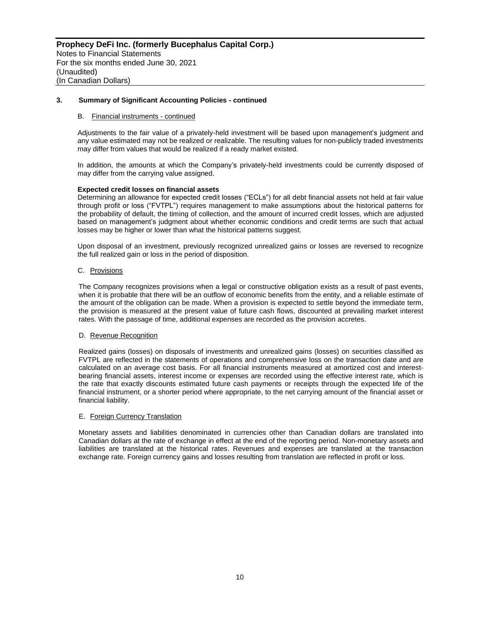#### B. Financial instruments - continued

Adjustments to the fair value of a privately-held investment will be based upon management's judgment and any value estimated may not be realized or realizable. The resulting values for non-publicly traded investments may differ from values that would be realized if a ready market existed.

In addition, the amounts at which the Company's privately-held investments could be currently disposed of may differ from the carrying value assigned.

#### **Expected credit losses on financial assets**

Determining an allowance for expected credit losses ("ECLs") for all debt financial assets not held at fair value through profit or loss ("FVTPL") requires management to make assumptions about the historical patterns for the probability of default, the timing of collection, and the amount of incurred credit losses, which are adjusted based on management's judgment about whether economic conditions and credit terms are such that actual losses may be higher or lower than what the historical patterns suggest.

Upon disposal of an investment, previously recognized unrealized gains or losses are reversed to recognize the full realized gain or loss in the period of disposition.

#### C. Provisions

The Company recognizes provisions when a legal or constructive obligation exists as a result of past events, when it is probable that there will be an outflow of economic benefits from the entity, and a reliable estimate of the amount of the obligation can be made. When a provision is expected to settle beyond the immediate term, the provision is measured at the present value of future cash flows, discounted at prevailing market interest rates. With the passage of time, additional expenses are recorded as the provision accretes.

# D. Revenue Recognition

Realized gains (losses) on disposals of investments and unrealized gains (losses) on securities classified as FVTPL are reflected in the statements of operations and comprehensive loss on the transaction date and are calculated on an average cost basis. For all financial instruments measured at amortized cost and interestbearing financial assets, interest income or expenses are recorded using the effective interest rate, which is the rate that exactly discounts estimated future cash payments or receipts through the expected life of the financial instrument, or a shorter period where appropriate, to the net carrying amount of the financial asset or financial liability.

#### E. Foreign Currency Translation

Monetary assets and liabilities denominated in currencies other than Canadian dollars are translated into Canadian dollars at the rate of exchange in effect at the end of the reporting period. Non-monetary assets and liabilities are translated at the historical rates. Revenues and expenses are translated at the transaction exchange rate. Foreign currency gains and losses resulting from translation are reflected in profit or loss.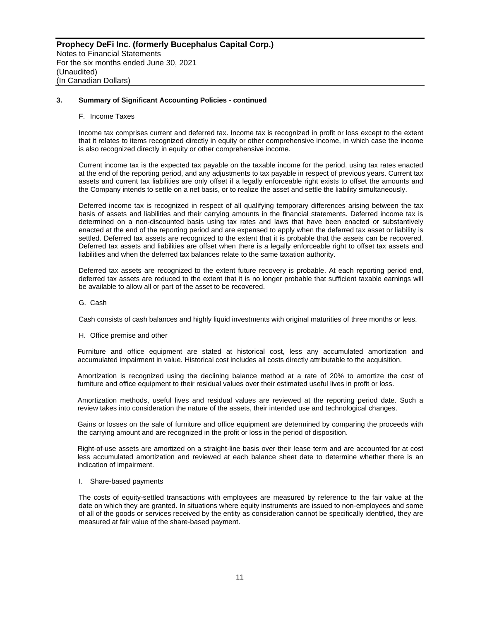#### F. Income Taxes

Income tax comprises current and deferred tax. Income tax is recognized in profit or loss except to the extent that it relates to items recognized directly in equity or other comprehensive income, in which case the income is also recognized directly in equity or other comprehensive income.

Current income tax is the expected tax payable on the taxable income for the period, using tax rates enacted at the end of the reporting period, and any adjustments to tax payable in respect of previous years. Current tax assets and current tax liabilities are only offset if a legally enforceable right exists to offset the amounts and the Company intends to settle on a net basis, or to realize the asset and settle the liability simultaneously.

Deferred income tax is recognized in respect of all qualifying temporary differences arising between the tax basis of assets and liabilities and their carrying amounts in the financial statements. Deferred income tax is determined on a non-discounted basis using tax rates and laws that have been enacted or substantively enacted at the end of the reporting period and are expensed to apply when the deferred tax asset or liability is settled. Deferred tax assets are recognized to the extent that it is probable that the assets can be recovered. Deferred tax assets and liabilities are offset when there is a legally enforceable right to offset tax assets and liabilities and when the deferred tax balances relate to the same taxation authority.

Deferred tax assets are recognized to the extent future recovery is probable. At each reporting period end, deferred tax assets are reduced to the extent that it is no longer probable that sufficient taxable earnings will be available to allow all or part of the asset to be recovered.

G. Cash

Cash consists of cash balances and highly liquid investments with original maturities of three months or less.

#### H. Office premise and other

Furniture and office equipment are stated at historical cost, less any accumulated amortization and accumulated impairment in value. Historical cost includes all costs directly attributable to the acquisition.

Amortization is recognized using the declining balance method at a rate of 20% to amortize the cost of furniture and office equipment to their residual values over their estimated useful lives in profit or loss.

Amortization methods, useful lives and residual values are reviewed at the reporting period date. Such a review takes into consideration the nature of the assets, their intended use and technological changes.

Gains or losses on the sale of furniture and office equipment are determined by comparing the proceeds with the carrying amount and are recognized in the profit or loss in the period of disposition.

Right-of-use assets are amortized on a straight-line basis over their lease term and are accounted for at cost less accumulated amortization and reviewed at each balance sheet date to determine whether there is an indication of impairment.

# I. Share-based payments

The costs of equity-settled transactions with employees are measured by reference to the fair value at the date on which they are granted. In situations where equity instruments are issued to non-employees and some of all of the goods or services received by the entity as consideration cannot be specifically identified, they are measured at fair value of the share-based payment.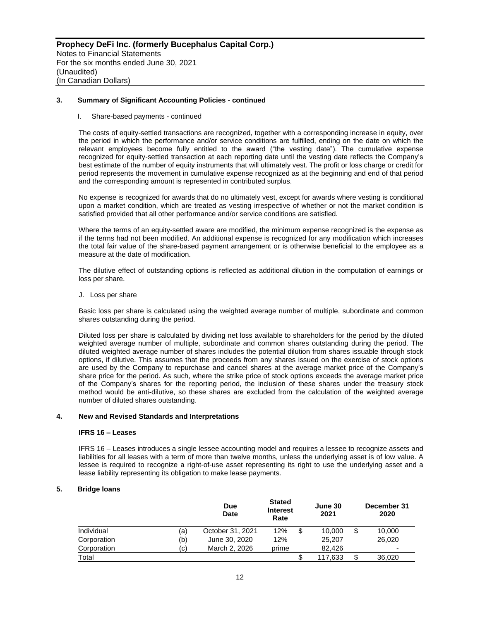#### I. Share-based payments - continued

The costs of equity-settled transactions are recognized, together with a corresponding increase in equity, over the period in which the performance and/or service conditions are fulfilled, ending on the date on which the relevant employees become fully entitled to the award ("the vesting date"). The cumulative expense recognized for equity-settled transaction at each reporting date until the vesting date reflects the Company's best estimate of the number of equity instruments that will ultimately vest. The profit or loss charge or credit for period represents the movement in cumulative expense recognized as at the beginning and end of that period and the corresponding amount is represented in contributed surplus.

No expense is recognized for awards that do no ultimately vest, except for awards where vesting is conditional upon a market condition, which are treated as vesting irrespective of whether or not the market condition is satisfied provided that all other performance and/or service conditions are satisfied.

Where the terms of an equity-settled aware are modified, the minimum expense recognized is the expense as if the terms had not been modified. An additional expense is recognized for any modification which increases the total fair value of the share-based payment arrangement or is otherwise beneficial to the employee as a measure at the date of modification.

The dilutive effect of outstanding options is reflected as additional dilution in the computation of earnings or loss per share.

J. Loss per share

Basic loss per share is calculated using the weighted average number of multiple, subordinate and common shares outstanding during the period.

Diluted loss per share is calculated by dividing net loss available to shareholders for the period by the diluted weighted average number of multiple, subordinate and common shares outstanding during the period. The diluted weighted average number of shares includes the potential dilution from shares issuable through stock options, if dilutive. This assumes that the proceeds from any shares issued on the exercise of stock options are used by the Company to repurchase and cancel shares at the average market price of the Company's share price for the period. As such, where the strike price of stock options exceeds the average market price of the Company's shares for the reporting period, the inclusion of these shares under the treasury stock method would be anti-dilutive, so these shares are excluded from the calculation of the weighted average number of diluted shares outstanding.

#### **4. New and Revised Standards and Interpretations**

#### **IFRS 16 – Leases**

IFRS 16 – Leases introduces a single lessee accounting model and requires a lessee to recognize assets and liabilities for all leases with a term of more than twelve months, unless the underlying asset is of low value. A lessee is required to recognize a right-of-use asset representing its right to use the underlying asset and a lease liability representing its obligation to make lease payments.

# **5. Bridge loans**

|             |     | <b>Due</b><br><b>Date</b> | <b>Stated</b><br><b>Interest</b><br>Rate |   |         |              | June 30<br>2021 | December 31<br>2020 |
|-------------|-----|---------------------------|------------------------------------------|---|---------|--------------|-----------------|---------------------|
| Individual  | (a) | October 31, 2021          | 12%                                      | S | 10.000  | \$<br>10.000 |                 |                     |
| Corporation | (b) | June 30, 2020             | 12%                                      |   | 25,207  | 26,020       |                 |                     |
| Corporation | (c) | March 2, 2026             | prime                                    |   | 82.426  | ٠            |                 |                     |
| Total       |     |                           |                                          |   | 117,633 | \$<br>36,020 |                 |                     |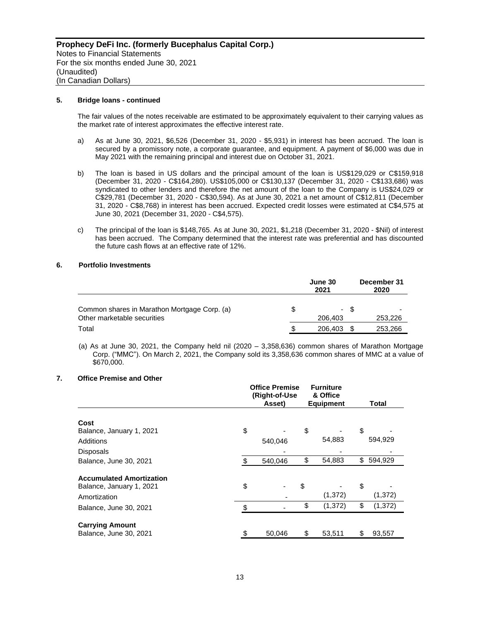#### **5. Bridge loans - continued**

The fair values of the notes receivable are estimated to be approximately equivalent to their carrying values as the market rate of interest approximates the effective interest rate.

- a) As at June 30, 2021, \$6,526 (December 31, 2020 \$5,931) in interest has been accrued. The loan is secured by a promissory note, a corporate guarantee, and equipment. A payment of \$6,000 was due in May 2021 with the remaining principal and interest due on October 31, 2021.
- b) The loan is based in US dollars and the principal amount of the loan is US\$129,029 or C\$159,918 (December 31, 2020 - C\$164,280). US\$105,000 or C\$130,137 (December 31, 2020 - C\$133,686) was syndicated to other lenders and therefore the net amount of the loan to the Company is US\$24,029 or C\$29,781 (December 31, 2020 - C\$30,594). As at June 30, 2021 a net amount of C\$12,811 (December 31, 2020 - C\$8,768) in interest has been accrued. Expected credit losses were estimated at C\$4,575 at June 30, 2021 (December 31, 2020 - C\$4,575).
- c) The principal of the loan is \$148,765. As at June 30, 2021, \$1,218 (December 31, 2020 \$Nil) of interest has been accrued. The Company determined that the interest rate was preferential and has discounted the future cash flows at an effective rate of 12%.

# **6. Portfolio Investments**

|                                                                             |   | June 30<br>2021 |      | December 31<br>2020 |  |  |
|-----------------------------------------------------------------------------|---|-----------------|------|---------------------|--|--|
| Common shares in Marathon Mortgage Corp. (a)<br>Other marketable securities |   | 206,403         | - \$ | 253,226             |  |  |
| Total                                                                       | S | 206,403         |      | 253,266             |  |  |

(a) As at June 30, 2021, the Company held nil (2020 – 3,358,636) common shares of Marathon Mortgage Corp. ("MMC"). On March 2, 2021, the Company sold its 3,358,636 common shares of MMC at a value of \$670,000.

# **7. Office Premise and Other**

|                                 | <b>Office Premise</b><br>(Right-of-Use<br>Asset) |         | <b>Furniture</b><br>& Office<br><b>Equipment</b> | Total          |
|---------------------------------|--------------------------------------------------|---------|--------------------------------------------------|----------------|
|                                 |                                                  |         |                                                  |                |
| Cost                            |                                                  |         |                                                  |                |
| Balance, January 1, 2021        | \$                                               |         | \$                                               | \$             |
| Additions                       |                                                  | 540,046 | 54,883                                           | 594,929        |
| <b>Disposals</b>                |                                                  |         |                                                  |                |
| Balance, June 30, 2021          | \$                                               | 540.046 | \$<br>54,883                                     | \$<br>594,929  |
| <b>Accumulated Amortization</b> |                                                  |         |                                                  |                |
| Balance, January 1, 2021        | \$                                               |         | \$                                               | \$             |
| Amortization                    |                                                  |         | (1, 372)                                         | (1, 372)       |
| Balance, June 30, 2021          | \$                                               |         | \$<br>(1, 372)                                   | \$<br>(1, 372) |
|                                 |                                                  |         |                                                  |                |
| <b>Carrying Amount</b>          |                                                  |         |                                                  |                |
| Balance, June 30, 2021          | \$                                               | 50.046  | \$<br>53,511                                     | \$<br>93.557   |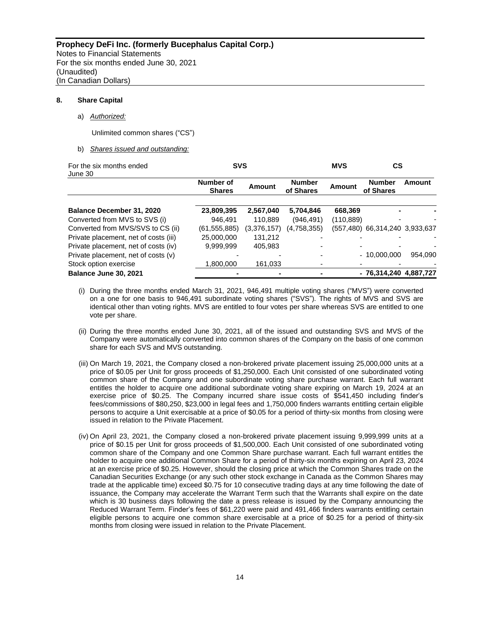#### **8. Share Capital**

# a) *Authorized:*

Unlimited common shares ("CS")

# b) *Shares issued and outstanding:*

| For the six months ended<br>June 30   | <b>SVS</b>                 |             |                            | <b>MVS</b> | СS                         |         |
|---------------------------------------|----------------------------|-------------|----------------------------|------------|----------------------------|---------|
|                                       | Number of<br><b>Shares</b> | Amount      | <b>Number</b><br>of Shares | Amount     | <b>Number</b><br>of Shares | Amount  |
| <b>Balance December 31, 2020</b>      | 23,809,395                 | 2,567,040   | 5,704,846                  | 668.369    |                            |         |
| Converted from MVS to SVS (i)         | 946.491                    | 110.889     | (946, 491)                 | (110,889)  |                            |         |
| Converted from MVS/SVS to CS (ii)     | (61, 555, 885)             | (3,376,157) | (4,758,355)                | (557.480)  | 66,314,240 3,933,637       |         |
| Private placement, net of costs (iii) | 25,000,000                 | 131.212     |                            |            |                            |         |
| Private placement, net of costs (iv)  | 9.999.999                  | 405.983     |                            |            |                            |         |
| Private placement, net of costs (v)   |                            |             |                            |            | $-10.000.000$              | 954.090 |
| Stock option exercise                 | 1.800.000                  | 161,033     |                            |            |                            |         |
| Balance June 30, 2021                 |                            |             |                            |            | - 76,314,240 4,887,727     |         |

- (i) During the three months ended March 31, 2021, 946,491 multiple voting shares ("MVS") were converted on a one for one basis to 946,491 subordinate voting shares ("SVS"). The rights of MVS and SVS are identical other than voting rights. MVS are entitled to four votes per share whereas SVS are entitled to one vote per share.
- (ii) During the three months ended June 30, 2021, all of the issued and outstanding SVS and MVS of the Company were automatically converted into common shares of the Company on the basis of one common share for each SVS and MVS outstanding.
- (iii) On March 19, 2021, the Company closed a non-brokered private placement issuing 25,000,000 units at a price of \$0.05 per Unit for gross proceeds of \$1,250,000. Each Unit consisted of one subordinated voting common share of the Company and one subordinate voting share purchase warrant. Each full warrant entitles the holder to acquire one additional subordinate voting share expiring on March 19, 2024 at an exercise price of \$0.25. The Company incurred share issue costs of \$541,450 including finder's fees/commissions of \$80,250, \$23,000 in legal fees and 1,750,000 finders warrants entitling certain eligible persons to acquire a Unit exercisable at a price of \$0.05 for a period of thirty-six months from closing were issued in relation to the Private Placement.
- (iv) On April 23, 2021, the Company closed a non-brokered private placement issuing 9,999,999 units at a price of \$0.15 per Unit for gross proceeds of \$1,500,000. Each Unit consisted of one subordinated voting common share of the Company and one Common Share purchase warrant. Each full warrant entitles the holder to acquire one additional Common Share for a period of thirty-six months expiring on April 23, 2024 at an exercise price of \$0.25. However, should the closing price at which the Common Shares trade on the Canadian Securities Exchange (or any such other stock exchange in Canada as the Common Shares may trade at the applicable time) exceed \$0.75 for 10 consecutive trading days at any time following the date of issuance, the Company may accelerate the Warrant Term such that the Warrants shall expire on the date which is 30 business days following the date a press release is issued by the Company announcing the Reduced Warrant Term. Finder's fees of \$61,220 were paid and 491,466 finders warrants entitling certain eligible persons to acquire one common share exercisable at a price of \$0.25 for a period of thirty-six months from closing were issued in relation to the Private Placement.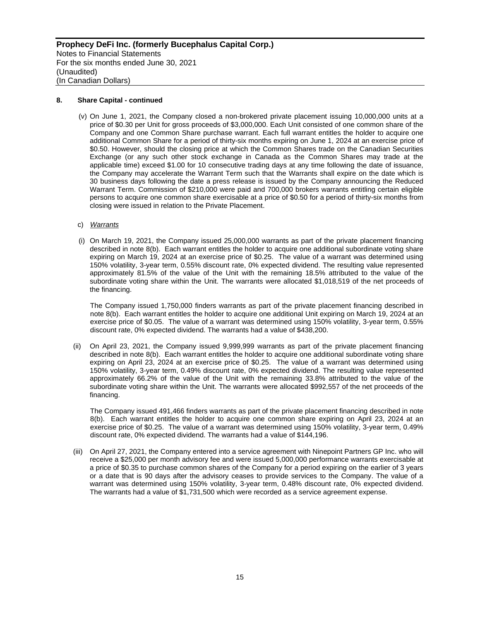# **8. Share Capital - continued**

- (v) On June 1, 2021, the Company closed a non-brokered private placement issuing 10,000,000 units at a price of \$0.30 per Unit for gross proceeds of \$3,000,000. Each Unit consisted of one common share of the Company and one Common Share purchase warrant. Each full warrant entitles the holder to acquire one additional Common Share for a period of thirty-six months expiring on June 1, 2024 at an exercise price of \$0.50. However, should the closing price at which the Common Shares trade on the Canadian Securities Exchange (or any such other stock exchange in Canada as the Common Shares may trade at the applicable time) exceed \$1.00 for 10 consecutive trading days at any time following the date of issuance, the Company may accelerate the Warrant Term such that the Warrants shall expire on the date which is 30 business days following the date a press release is issued by the Company announcing the Reduced Warrant Term. Commission of \$210,000 were paid and 700,000 brokers warrants entitling certain eligible persons to acquire one common share exercisable at a price of \$0.50 for a period of thirty-six months from closing were issued in relation to the Private Placement.
- c) *Warrants*
- (i) On March 19, 2021, the Company issued 25,000,000 warrants as part of the private placement financing described in note 8(b). Each warrant entitles the holder to acquire one additional subordinate voting share expiring on March 19, 2024 at an exercise price of \$0.25. The value of a warrant was determined using 150% volatility, 3-year term, 0.55% discount rate, 0% expected dividend. The resulting value represented approximately 81.5% of the value of the Unit with the remaining 18.5% attributed to the value of the subordinate voting share within the Unit. The warrants were allocated \$1,018,519 of the net proceeds of the financing.

The Company issued 1,750,000 finders warrants as part of the private placement financing described in note 8(b). Each warrant entitles the holder to acquire one additional Unit expiring on March 19, 2024 at an exercise price of \$0.05. The value of a warrant was determined using 150% volatility, 3-year term, 0.55% discount rate, 0% expected dividend. The warrants had a value of \$438,200.

(ii) On April 23, 2021, the Company issued 9,999,999 warrants as part of the private placement financing described in note 8(b). Each warrant entitles the holder to acquire one additional subordinate voting share expiring on April 23, 2024 at an exercise price of \$0.25. The value of a warrant was determined using 150% volatility, 3-year term, 0.49% discount rate, 0% expected dividend. The resulting value represented approximately 66.2% of the value of the Unit with the remaining 33.8% attributed to the value of the subordinate voting share within the Unit. The warrants were allocated \$992,557 of the net proceeds of the financing.

The Company issued 491,466 finders warrants as part of the private placement financing described in note 8(b). Each warrant entitles the holder to acquire one common share expiring on April 23, 2024 at an exercise price of \$0.25. The value of a warrant was determined using 150% volatility, 3-year term, 0.49% discount rate, 0% expected dividend. The warrants had a value of \$144,196.

(iii) On April 27, 2021, the Company entered into a service agreement with Ninepoint Partners GP Inc. who will receive a \$25,000 per month advisory fee and were issued 5,000,000 performance warrants exercisable at a price of \$0.35 to purchase common shares of the Company for a period expiring on the earlier of 3 years or a date that is 90 days after the advisory ceases to provide services to the Company. The value of a warrant was determined using 150% volatility, 3-year term, 0.48% discount rate, 0% expected dividend. The warrants had a value of \$1,731,500 which were recorded as a service agreement expense.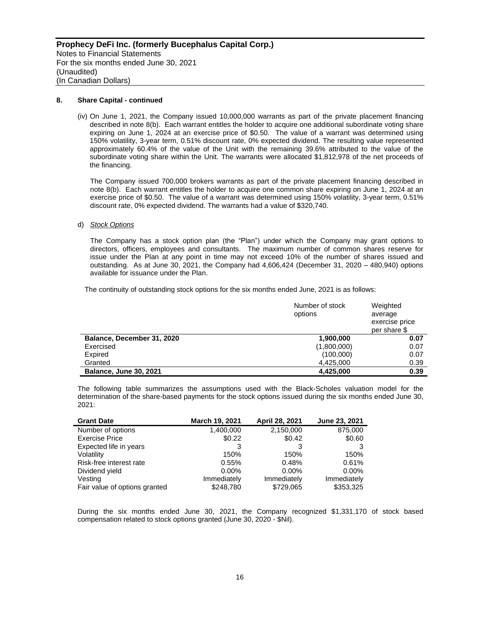#### **8. Share Capital - continued**

(iv) On June 1, 2021, the Company issued 10,000,000 warrants as part of the private placement financing described in note 8(b). Each warrant entitles the holder to acquire one additional subordinate voting share expiring on June 1, 2024 at an exercise price of \$0.50. The value of a warrant was determined using 150% volatility, 3-year term, 0.51% discount rate, 0% expected dividend. The resulting value represented approximately 60.4% of the value of the Unit with the remaining 39.6% attributed to the value of the subordinate voting share within the Unit. The warrants were allocated \$1,812,978 of the net proceeds of the financing.

The Company issued 700,000 brokers warrants as part of the private placement financing described in note 8(b). Each warrant entitles the holder to acquire one common share expiring on June 1, 2024 at an exercise price of \$0.50. The value of a warrant was determined using 150% volatility, 3-year term, 0.51% discount rate, 0% expected dividend. The warrants had a value of \$320,740.

#### d) *Stock Options*

The Company has a stock option plan (the "Plan") under which the Company may grant options to directors, officers, employees and consultants. The maximum number of common shares reserve for issue under the Plan at any point in time may not exceed 10% of the number of shares issued and outstanding. As at June 30, 2021, the Company had 4,606,424 (December 31, 2020 – 480,940) options available for issuance under the Plan.

The continuity of outstanding stock options for the six months ended June, 2021 is as follows:

|                               | Number of stock<br>options | Weighted<br>average<br>exercise price<br>per share \$ |
|-------------------------------|----------------------------|-------------------------------------------------------|
| Balance, December 31, 2020    | 1,900,000                  | 0.07                                                  |
| Exercised                     | (1,800,000)                | 0.07                                                  |
| Expired                       | (100,000)                  | 0.07                                                  |
| Granted                       | 4,425,000                  | 0.39                                                  |
| <b>Balance, June 30, 2021</b> | 4,425,000                  | 0.39                                                  |

The following table summarizes the assumptions used with the Black-Scholes valuation model for the determination of the share-based payments for the stock options issued during the six months ended June 30, 2021:

| <b>Grant Date</b>             | March 19, 2021 | April 28, 2021 | June 23, 2021 |
|-------------------------------|----------------|----------------|---------------|
| Number of options             | 1,400,000      | 2,150,000      | 875,000       |
| <b>Exercise Price</b>         | \$0.22         | \$0.42         | \$0.60        |
| Expected life in years        | 3              | 3              |               |
| Volatility                    | 150%           | 150%           | 150%          |
| Risk-free interest rate       | 0.55%          | 0.48%          | 0.61%         |
| Dividend yield                | $0.00\%$       | $0.00\%$       | $0.00\%$      |
| Vesting                       | Immediately    | Immediately    | Immediately   |
| Fair value of options granted | \$248,780      | \$729,065      | \$353,325     |

During the six months ended June 30, 2021, the Company recognized \$1,331,170 of stock based compensation related to stock options granted (June 30, 2020 - \$Nil).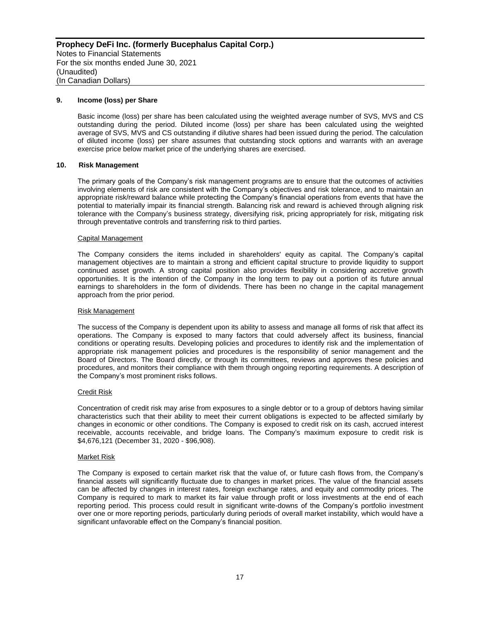#### **9. Income (loss) per Share**

Basic income (loss) per share has been calculated using the weighted average number of SVS, MVS and CS outstanding during the period. Diluted income (loss) per share has been calculated using the weighted average of SVS, MVS and CS outstanding if dilutive shares had been issued during the period. The calculation of diluted income (loss) per share assumes that outstanding stock options and warrants with an average exercise price below market price of the underlying shares are exercised.

#### **10. Risk Management**

The primary goals of the Company's risk management programs are to ensure that the outcomes of activities involving elements of risk are consistent with the Company's objectives and risk tolerance, and to maintain an appropriate risk/reward balance while protecting the Company's financial operations from events that have the potential to materially impair its financial strength. Balancing risk and reward is achieved through aligning risk tolerance with the Company's business strategy, diversifying risk, pricing appropriately for risk, mitigating risk through preventative controls and transferring risk to third parties.

#### Capital Management

The Company considers the items included in shareholders' equity as capital. The Company's capital management objectives are to maintain a strong and efficient capital structure to provide liquidity to support continued asset growth. A strong capital position also provides flexibility in considering accretive growth opportunities. It is the intention of the Company in the long term to pay out a portion of its future annual earnings to shareholders in the form of dividends. There has been no change in the capital management approach from the prior period.

#### Risk Management

The success of the Company is dependent upon its ability to assess and manage all forms of risk that affect its operations. The Company is exposed to many factors that could adversely affect its business, financial conditions or operating results. Developing policies and procedures to identify risk and the implementation of appropriate risk management policies and procedures is the responsibility of senior management and the Board of Directors. The Board directly, or through its committees, reviews and approves these policies and procedures, and monitors their compliance with them through ongoing reporting requirements. A description of the Company's most prominent risks follows.

#### Credit Risk

Concentration of credit risk may arise from exposures to a single debtor or to a group of debtors having similar characteristics such that their ability to meet their current obligations is expected to be affected similarly by changes in economic or other conditions. The Company is exposed to credit risk on its cash, accrued interest receivable, accounts receivable, and bridge loans. The Company's maximum exposure to credit risk is \$4,676,121 (December 31, 2020 - \$96,908).

#### Market Risk

The Company is exposed to certain market risk that the value of, or future cash flows from, the Company's financial assets will significantly fluctuate due to changes in market prices. The value of the financial assets can be affected by changes in interest rates, foreign exchange rates, and equity and commodity prices. The Company is required to mark to market its fair value through profit or loss investments at the end of each reporting period. This process could result in significant write-downs of the Company's portfolio investment over one or more reporting periods, particularly during periods of overall market instability, which would have a significant unfavorable effect on the Company's financial position.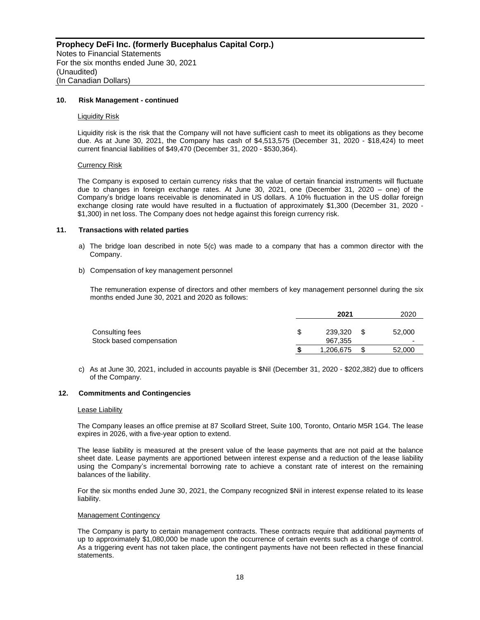#### **10. Risk Management - continued**

#### **Liquidity Risk**

Liquidity risk is the risk that the Company will not have sufficient cash to meet its obligations as they become due. As at June 30, 2021, the Company has cash of \$4,513,575 (December 31, 2020 - \$18,424) to meet current financial liabilities of \$49,470 (December 31, 2020 - \$530,364).

#### Currency Risk

The Company is exposed to certain currency risks that the value of certain financial instruments will fluctuate due to changes in foreign exchange rates. At June 30, 2021, one (December 31, 2020 – one) of the Company's bridge loans receivable is denominated in US dollars. A 10% fluctuation in the US dollar foreign exchange closing rate would have resulted in a fluctuation of approximately \$1,300 (December 31, 2020 - \$1,300) in net loss. The Company does not hedge against this foreign currency risk.

#### **11. Transactions with related parties**

- a) The bridge loan described in note 5(c) was made to a company that has a common director with the Company.
- b) Compensation of key management personnel

The remuneration expense of directors and other members of key management personnel during the six months ended June 30, 2021 and 2020 as follows:

|                                             | 2021               | 2020        |
|---------------------------------------------|--------------------|-------------|
| Consulting fees<br>Stock based compensation | 239.320<br>967,355 | 52,000<br>- |
|                                             | 1,206,675          | 52,000      |

c) As at June 30, 2021, included in accounts payable is \$Nil (December 31, 2020 - \$202,382) due to officers of the Company.

#### **12. Commitments and Contingencies**

#### Lease Liability

The Company leases an office premise at 87 Scollard Street, Suite 100, Toronto, Ontario M5R 1G4. The lease expires in 2026, with a five-year option to extend.

The lease liability is measured at the present value of the lease payments that are not paid at the balance sheet date. Lease payments are apportioned between interest expense and a reduction of the lease liability using the Company's incremental borrowing rate to achieve a constant rate of interest on the remaining balances of the liability.

For the six months ended June 30, 2021, the Company recognized \$Nil in interest expense related to its lease liability.

#### Management Contingency

The Company is party to certain management contracts. These contracts require that additional payments of up to approximately \$1,080,000 be made upon the occurrence of certain events such as a change of control. As a triggering event has not taken place, the contingent payments have not been reflected in these financial statements.